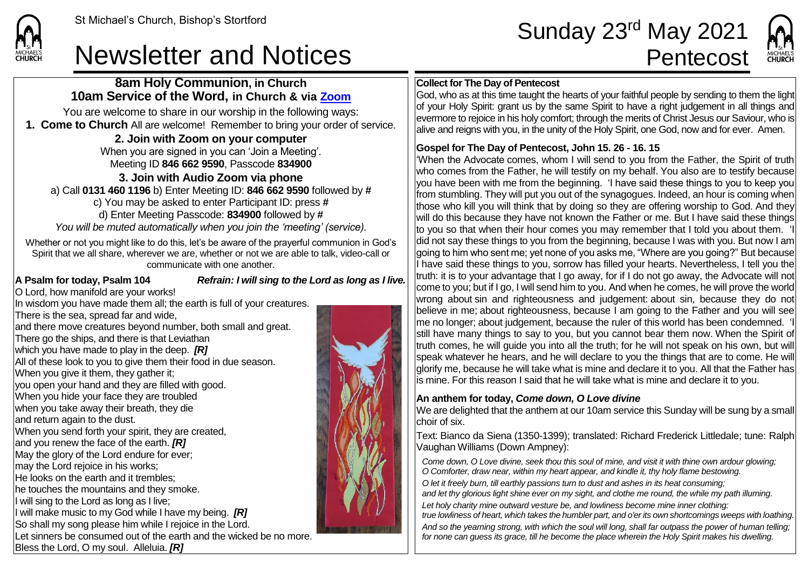# Newsletter and Notices **Pentecost**

St Michael's Church, Bishop's Stortford **Sunday 23<sup>rd</sup> May 2021** 



### **8am Holy Communion, in Church 10am Service of the Word, in Church & via [Zoom](https://zoom.us/)**

You are welcome to share in our worship in the following ways: **1. Come to Church** All are welcome! Remember to bring your order of service.

**2. Join with Zoom on your computer**

When you are signed in you can 'Join a Meeting'. Meeting ID **846 662 9590**, Passcode **834900**

#### **3. Join with Audio Zoom via phone**

a) Call **0131 460 1196** b) Enter Meeting ID: **846 662 9590** followed by **#** c) You may be asked to enter Participant ID: press **#** d) Enter Meeting Passcode: **834900** followed by **#** *You will be muted automatically when you join the 'meeting' (service).*

Whether or not you might like to do this, let's be aware of the prayerful communion in God's Spirit that we all share, wherever we are, whether or not we are able to talk, video-call or communicate with one another.

**CHURCH** 

**A Psalm for today, Psalm 104** *Refrain: I will sing to the Lord as long as I live.*

O Lord, how manifold are your works! In wisdom you have made them all; the earth is full of your creatures. There is the sea, spread far and wide, and there move creatures beyond number, both small and great. There go the ships, and there is that Leviathan which you have made to play in the deep. *[R]* All of these look to you to give them their food in due season. When you give it them, they gather it: you open your hand and they are filled with good. When you hide your face they are troubled when you take away their breath, they die and return again to the dust. When you send forth your spirit, they are created, and you renew the face of the earth. *[R]* May the glory of the Lord endure for ever; may the Lord rejoice in his works; He looks on the earth and it trembles; he touches the mountains and they smoke. If will sing to the Lord as long as I live: I will make music to my God while I have my being. *[R]* So shall my song please him while I rejoice in the Lord. Let sinners be consumed out of the earth and the wicked be no more. Bless the Lord, O my soul. Alleluia. *[R]*



#### **Collect for The Day of Pentecost**

God, who as at this time taught the hearts of your faithful people by sending to them the light of your Holy Spirit: grant us by the same Spirit to have a right judgement in all things and evermore to rejoice in his holy comfort; through the merits of Christ Jesus our Saviour, who is alive and reigns with you, in the unity of the Holy Spirit, one God, now and for ever. Amen.

### **Gospel for The Day of Pentecost, John 15. 26 - 16. 15**

'When the Advocate comes, whom I will send to you from the Father, the Spirit of truth who comes from the Father, he will testify on my behalf. You also are to testify because you have been with me from the beginning. 'I have said these things to you to keep you from stumbling. They will put you out of the synagogues. Indeed, an hour is coming when those who kill you will think that by doing so they are offering worship to God. And they will do this because they have not known the Father or me. But I have said these things to you so that when their hour comes you may remember that I told you about them. did not say these things to you from the beginning, because I was with you. But now I am going to him who sent me; yet none of you asks me, "Where are you going?" But because I have said these things to you, sorrow has filled your hearts. Nevertheless, I tell you the truth: it is to your advantage that I go away, for if I do not go away, the Advocate will not come to you; but if I go, I will send him to you. And when he comes, he will prove the world wrong about sin and righteousness and judgement: about sin, because they do not believe in me; about righteousness, because I am going to the Father and you will see me no longer; about judgement, because the ruler of this world has been condemned. 'I still have many things to say to you, but you cannot bear them now. When the Spirit of truth comes, he will guide you into all the truth; for he will not speak on his own, but will speak whatever he hears, and he will declare to you the things that are to come. He will glorify me, because he will take what is mine and declare it to you. All that the Father has is mine. For this reason I said that he will take what is mine and declare it to you.

#### **An anthem for today,** *Come down, O Love divine*

We are delighted that the anthem at our 10am service this Sunday will be sung by a small choir of six.

Text: Bianco da Siena (1350-1399); translated: Richard Frederick Littledale; tune: Ralph Vaughan Williams (Down Ampney):

*Come down, O Love divine, seek thou this soul of mine, and visit it with thine own ardour glowing; O Comforter, draw near, within my heart appear, and kindle it, thy holy flame bestowing. O let it freely burn, till earthly passions turn to dust and ashes in its heat consuming; and let thy glorious light shine ever on my sight, and clothe me round, the while my path illuming.*

*Let holy charity mine outward vesture be, and lowliness become mine inner clothing: true lowliness of heart, which takes the humbler part, and o'er its own shortcomings weeps with loathing.*

*And so the yearning strong, with which the soul will long, shall far outpass the power of human telling; for none can guess its grace, till he become the place wherein the Holy Spirit makes his dwelling.*